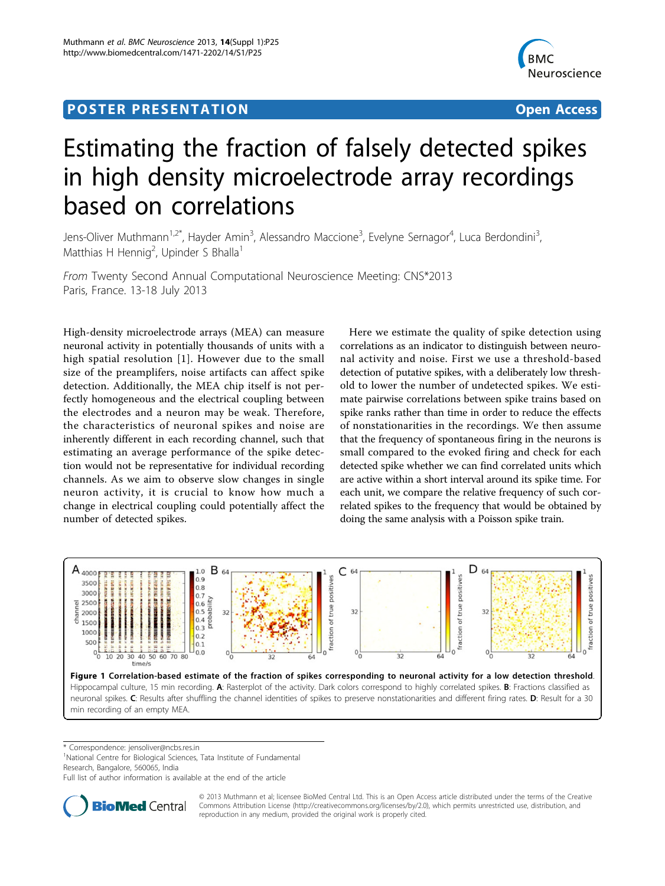## <span id="page-0-0"></span>Post Experimental Police in the St English Police in the St English Police in the St English Police in the St<br>Police in the St English Police in the St English Police in the St English Police in the St English Police in



# Estimating the fraction of falsely detected spikes in high density microelectrode array recordings based on correlations

Jens-Oliver Muthmann<sup>1,2\*</sup>, Hayder Amin<sup>3</sup>, Alessandro Maccione<sup>3</sup>, Evelyne Sernagor<sup>4</sup>, Luca Berdondini<sup>3</sup> , Matthias H Hennig<sup>2</sup>, Upinder S Bhalla<sup>1</sup>

From Twenty Second Annual Computational Neuroscience Meeting: CNS\*2013 Paris, France. 13-18 July 2013

High-density microelectrode arrays (MEA) can measure neuronal activity in potentially thousands of units with a high spatial resolution [[1](#page-1-0)]. However due to the small size of the preamplifers, noise artifacts can affect spike detection. Additionally, the MEA chip itself is not perfectly homogeneous and the electrical coupling between the electrodes and a neuron may be weak. Therefore, the characteristics of neuronal spikes and noise are inherently different in each recording channel, such that estimating an average performance of the spike detection would not be representative for individual recording channels. As we aim to observe slow changes in single neuron activity, it is crucial to know how much a change in electrical coupling could potentially affect the number of detected spikes.

Here we estimate the quality of spike detection using correlations as an indicator to distinguish between neuronal activity and noise. First we use a threshold-based detection of putative spikes, with a deliberately low threshold to lower the number of undetected spikes. We estimate pairwise correlations between spike trains based on spike ranks rather than time in order to reduce the effects of nonstationarities in the recordings. We then assume that the frequency of spontaneous firing in the neurons is small compared to the evoked firing and check for each detected spike whether we can find correlated units which are active within a short interval around its spike time. For each unit, we compare the relative frequency of such correlated spikes to the frequency that would be obtained by doing the same analysis with a Poisson spike train.



\* Correspondence: [jensoliver@ncbs.res.in](mailto:jensoliver@ncbs.res.in)

<sup>1</sup>National Centre for Biological Sciences, Tata Institute of Fundamental Research, Bangalore, 560065, India

Full list of author information is available at the end of the article



© 2013 Muthmann et al; licensee BioMed Central Ltd. This is an Open Access article distributed under the terms of the Creative Commons Attribution License [\(http://creativecommons.org/licenses/by/2.0](http://creativecommons.org/licenses/by/2.0)), which permits unrestricted use, distribution, and reproduction in any medium, provided the original work is properly cited.